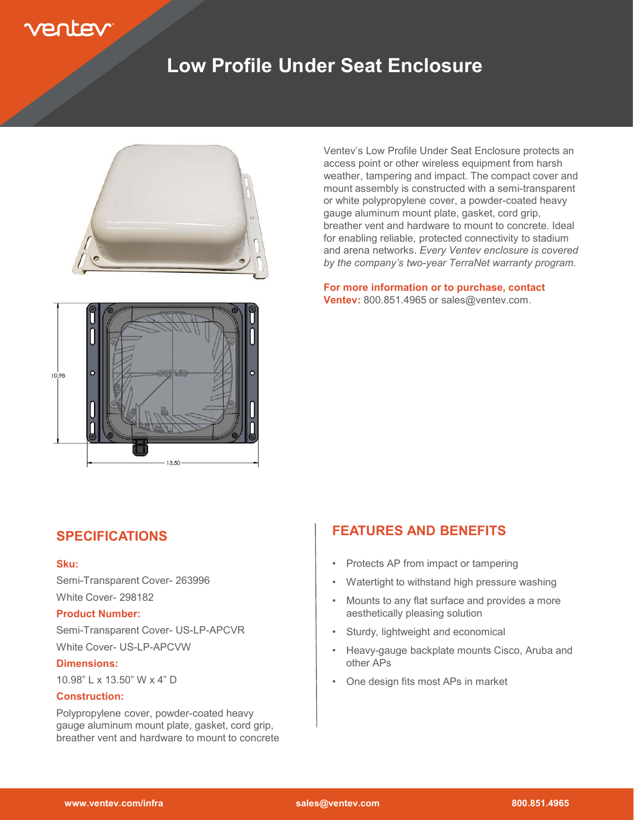# rentev

### **Low Profile Under Seat Enclosure**



Ventev's Low Profile Under Seat Enclosure protects an access point or other wireless equipment from harsh weather, tampering and impact. The compact cover and mount assembly is constructed with a semi-transparent or white polypropylene cover, a powder-coated heavy gauge aluminum mount plate, gasket, cord grip, breather vent and hardware to mount to concrete. Ideal for enabling reliable, protected connectivity to stadium and arena networks. *Every Ventev enclosure is covered by the company's two-year TerraNet warranty program.*

**For more information or to purchase, contact Ventev:** 800.851.4965 or sales@ventev.com.



### **SPECIFICATIONS**

#### **Sku:**

Semi-Transparent Cover- 263996 White Cover- 298182

#### **Product Number:**

Semi-Transparent Cover- US-LP-APCVR White Cover- US-LP-APCVW

#### **Dimensions:**

10.98" L x 13.50" W x 4" D

#### **Construction:**

Polypropylene cover, powder-coated heavy gauge aluminum mount plate, gasket, cord grip, breather vent and hardware to mount to concrete

### **FEATURES AND BENEFITS**

- Protects AP from impact or tampering
- Watertight to withstand high pressure washing
- Mounts to any flat surface and provides a more aesthetically pleasing solution
- Sturdy, lightweight and economical
- Heavy-gauge backplate mounts Cisco, Aruba and other APs
- One design fits most APs in market